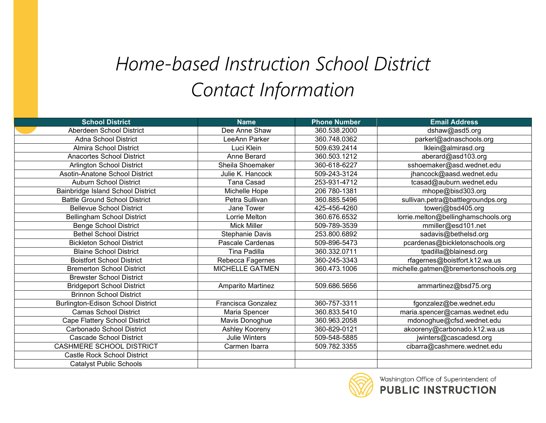## *Home-based Instruction School District Contact Information*

| <b>School District</b>                   | <b>Name</b>               | <b>Phone Number</b> | <b>Email Address</b>                 |
|------------------------------------------|---------------------------|---------------------|--------------------------------------|
| Aberdeen School District                 | Dee Anne Shaw             | 360.538.2000        | dshaw@asd5.org                       |
| <b>Adna School District</b>              | LeeAnn Parker             | 360.748.0362        | parkerl@adnaschools.org              |
| <b>Almira School District</b>            | Luci Klein                | 509.639.2414        | lklein@almirasd.org                  |
| <b>Anacortes School District</b>         | Anne Berard               | 360.503.1212        | aberard@asd103.org                   |
| Arlington School District                | Sheila Shoemaker          | 360-618-6227        | sshoemaker@asd.wednet.edu            |
| Asotin-Anatone School District           | Julie K. Hancock          | 509-243-3124        | jhancock@aasd.wednet.edu             |
| <b>Auburn School District</b>            | <b>Tana Casad</b>         | 253-931-4712        | tcasad@auburn.wednet.edu             |
| Bainbridge Island School District        | Michelle Hope             | 206 780-1381        | mhope@bisd303.org                    |
| <b>Battle Ground School District</b>     | Petra Sullivan            | 360.885.5496        | sullivan.petra@battlegroundps.org    |
| <b>Bellevue School District</b>          | Jane Tower                | 425-456-4260        | towerj@bsd405.org                    |
| <b>Bellingham School District</b>        | Lorrie Melton             | 360.676.6532        | lorrie.melton@bellinghamschools.org  |
| <b>Benge School District</b>             | <b>Mick Miller</b>        | 509-789-3539        | mmiller@esd101.net                   |
| <b>Bethel School District</b>            | Stephanie Davis           | 253.800.6892        | sadavis@bethelsd.org                 |
| <b>Bickleton School District</b>         | Pascale Cardenas          | 509-896-5473        | pcardenas@bickletonschools.org       |
| <b>Blaine School District</b>            | Tina Padilla              | 360.332.0711        | tpadilla@blainesd.org                |
| <b>Boistfort School District</b>         | Rebecca Fagernes          | 360-245-3343        | rfagernes@boistfort.k12.wa.us        |
| <b>Bremerton School District</b>         | <b>MICHELLE GATMEN</b>    | 360.473.1006        | michelle.gatmen@bremertonschools.org |
| <b>Brewster School District</b>          |                           |                     |                                      |
| <b>Bridgeport School District</b>        | Amparito Martinez         | 509.686.5656        | ammartinez@bsd75.org                 |
| <b>Brinnon School District</b>           |                           |                     |                                      |
| <b>Burlington-Edison School District</b> | <b>Francisca Gonzalez</b> | 360-757-3311        | fgonzalez@be.wednet.edu              |
| <b>Camas School District</b>             | Maria Spencer             | 360.833.5410        | maria.spencer@camas.wednet.edu       |
| Cape Flattery School District            | Mavis Donoghue            | 360.963.2058        | mdonoghue@cfsd.wednet.edu            |
| Carbonado School District                | Ashley Kooreny            | 360-829-0121        | akooreny@carbonado.k12.wa.us         |
| <b>Cascade School District</b>           | <b>Julie Winters</b>      | 509-548-5885        | jwinters@cascadesd.org               |
| CASHMERE SCHOOL DISTRICT                 | Carmen Ibarra             | 509.782.3355        | cibarra@cashmere.wednet.edu          |
| <b>Castle Rock School District</b>       |                           |                     |                                      |
| <b>Catalyst Public Schools</b>           |                           |                     |                                      |

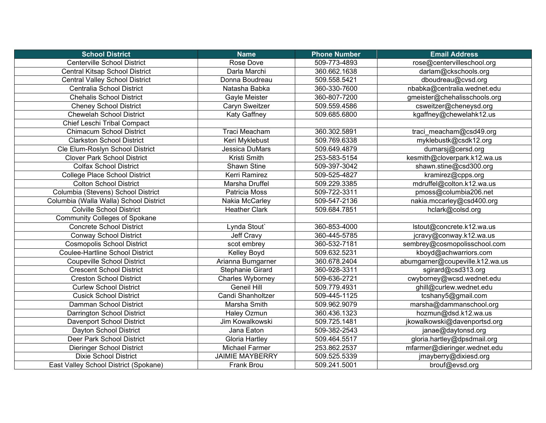| <b>School District</b>                 | <b>Name</b>            | <b>Phone Number</b> | <b>Email Address</b>            |
|----------------------------------------|------------------------|---------------------|---------------------------------|
| <b>Centerville School District</b>     | Rose Dove              | 509-773-4893        | rose@centervilleschool.org      |
| <b>Central Kitsap School District</b>  | Darla Marchi           | 360.662.1638        | darlam@ckschools.org            |
| <b>Central Valley School District</b>  | Donna Boudreau         | 509.558.5421        | dboudreau@cvsd.org              |
| Centralia School District              | Natasha Babka          | 360-330-7600        | nbabka@centralia.wednet.edu     |
| <b>Chehalis School District</b>        | Gayle Meister          | 360-807-7200        | gmeister@chehalisschools.org    |
| <b>Cheney School District</b>          | Caryn Sweitzer         | 509.559.4586        | csweitzer@cheneysd.org          |
| <b>Chewelah School District</b>        | <b>Katy Gaffney</b>    | 509.685.6800        | kgaffney@chewelahk12.us         |
| Chief Leschi Tribal Compact            |                        |                     |                                 |
| <b>Chimacum School District</b>        | Traci Meacham          | 360.302.5891        | traci meacham@csd49.org         |
| <b>Clarkston School District</b>       | Keri Myklebust         | 509.769.6338        | myklebustk@csdk12.org           |
| Cle Elum-Roslyn School District        | Jessica DuMars         | 509.649.4879        | dumarsj@cersd.org               |
| <b>Clover Park School District</b>     | Kristi Smith           | 253-583-5154        | kesmith@cloverpark.k12.wa.us    |
| <b>Colfax School District</b>          | Shawn Stine            | 509-397-3042        | shawn.stine@csd300.org          |
| College Place School District          | Kerri Ramirez          | 509-525-4827        | kramirez@cpps.org               |
| <b>Colton School District</b>          | Marsha Druffel         | 509.229.3385        | mdruffel@colton.k12.wa.us       |
| Columbia (Stevens) School District     | Patricia Moss          | 509-722-3311        | pmoss@columbia206.net           |
| Columbia (Walla Walla) School District | Nakia McCarley         | 509-547-2136        | nakia.mccarley@csd400.org       |
| <b>Colville School District</b>        | <b>Heather Clark</b>   | 509.684.7851        | hclark@colsd.org                |
| <b>Community Colleges of Spokane</b>   |                        |                     |                                 |
| <b>Concrete School District</b>        | Lynda Stout`           | 360-853-4000        | lstout@concrete.k12.wa.us       |
| <b>Conway School District</b>          | Jeff Cravy             | 360-445-5785        | jcravy@conway.k12.wa.us         |
| <b>Cosmopolis School District</b>      | scot embrey            | 360-532-7181        | sembrey@cosmopolisschool.com    |
| <b>Coulee-Hartline School District</b> | Kelley Boyd            | 509.632.5231        | kboyd@achwarriors.com           |
| <b>Coupeville School District</b>      | Arianna Bumgarner      | 360.678.2404        | abumgarner@coupeville.k12.wa.us |
| <b>Crescent School District</b>        | Stephanie Girard       | 360-928-3311        | sgirard@csd313.org              |
| <b>Creston School District</b>         | Charles Wyborney       | 509-636-2721        | cwyborney@wcsd.wednet.edu       |
| <b>Curlew School District</b>          | <b>Geneil Hill</b>     | 509.779.4931        | ghill@curlew.wednet.edu         |
| <b>Cusick School District</b>          | Candi Shanholtzer      | 509-445-1125        | tcshany5@gmail.com              |
| Damman School District                 | Marsha Smith           | 509.962.9079        | marsha@dammanschool.org         |
| Darrington School District             | Haley Ozmun            | 360.436.1323        | hozmun@dsd.k12.wa.us            |
| Davenport School District              | Jim Kowalkowski        | 509.725.1481        | jkowalkowski@davenportsd.org    |
| Dayton School District                 | Jana Eaton             | 509-382-2543        | janae@daytonsd.org              |
| Deer Park School District              | Gloria Hartley         | 509.464.5517        | gloria.hartley@dpsdmail.org     |
| <b>Dieringer School District</b>       | <b>Michael Farmer</b>  | 253.862.2537        | mfarmer@dieringer.wednet.edu    |
| <b>Dixie School District</b>           | <b>JAIMIE MAYBERRY</b> | 509.525.5339        | jmayberry@dixiesd.org           |
| East Valley School District (Spokane)  | Frank Brou             | 509.241.5001        | brouf@evsd.org                  |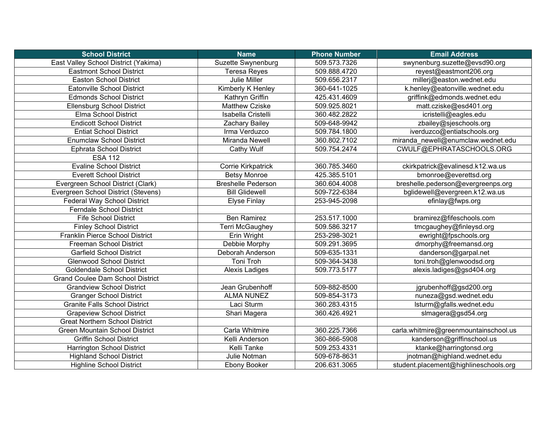| <b>School District</b>                  | <b>Name</b>               | <b>Phone Number</b> | <b>Email Address</b>                  |
|-----------------------------------------|---------------------------|---------------------|---------------------------------------|
| East Valley School District (Yakima)    | Suzette Swynenburg        | 509.573.7326        | swynenburg.suzette@evsd90.org         |
| <b>Eastmont School District</b>         | <b>Teresa Reyes</b>       | 509.888.4720        | reyest@eastmont206.org                |
| <b>Easton School District</b>           | Julie Miller              | 509.656.2317        | millerj@easton.wednet.edu             |
| Eatonville School District              | Kimberly K Henley         | 360-641-1025        | k.henley@eatonville.wednet.edu        |
| <b>Edmonds School District</b>          | Kathryn Griffin           | 425.431.4609        | griffink@edmonds.wednet.edu           |
| <b>Ellensburg School District</b>       | <b>Matthew Cziske</b>     | 509.925.8021        | matt.cziske@esd401.org                |
| Elma School District                    | Isabella Cristelli        | 360.482.2822        | icristelli@eagles.edu                 |
| <b>Endicott School District</b>         | Zachary Bailey            | 509-648-9942        | zbailey@sjeschools.org                |
| <b>Entiat School District</b>           | Irma Verduzco             | 509.784.1800        | iverduzco@entiatschools.org           |
| <b>Enumclaw School District</b>         | Miranda Newell            | 360.802.7102        | miranda_newell@enumclaw.wednet.edu    |
| <b>Ephrata School District</b>          | Cathy Wulf                | 509.754.2474        | CWULF@EPHRATASCHOOLS.ORG              |
| <b>ESA 112</b>                          |                           |                     |                                       |
| <b>Evaline School District</b>          | Corrie Kirkpatrick        | 360.785.3460        | ckirkpatrick@evalinesd.k12.wa.us      |
| <b>Everett School District</b>          | <b>Betsy Monroe</b>       | 425.385.5101        | bmonroe@everettsd.org                 |
| Evergreen School District (Clark)       | <b>Breshelle Pederson</b> | 360.604.4008        | breshelle.pederson@evergreenps.org    |
| Evergreen School District (Stevens)     | <b>Bill Glidewell</b>     | 509-722-6384        | bglidewell@evergreen.k12.wa.us        |
| Federal Way School District             | <b>Elyse Finlay</b>       | 253-945-2098        | efinlay@fwps.org                      |
| <b>Ferndale School District</b>         |                           |                     |                                       |
| <b>Fife School District</b>             | <b>Ben Ramirez</b>        | 253.517.1000        | bramirez@fifeschools.com              |
| <b>Finley School District</b>           | Terri McGaughey           | 509.586.3217        | tmcgaughey@finleysd.org               |
| Franklin Pierce School District         | Erin Wright               | 253-298-3021        | ewright@fpschools.org                 |
| Freeman School District                 | Debbie Morphy             | 509.291.3695        | dmorphy@freemansd.org                 |
| <b>Garfield School District</b>         | Deborah Anderson          | 509-635-1331        | danderson@garpal.net                  |
| <b>Glenwood School District</b>         | Toni Troh                 | 509-364-3438        | toni.troh@glenwoodsd.org              |
| <b>Goldendale School District</b>       | Alexis Ladiges            | 509.773.5177        | alexis.ladiges@gsd404.org             |
| <b>Grand Coulee Dam School District</b> |                           |                     |                                       |
| <b>Grandview School District</b>        | Jean Grubenhoff           | 509-882-8500        | jgrubenhoff@gsd200.org                |
| <b>Granger School District</b>          | <b>ALMA NUNEZ</b>         | 509-854-3173        | nuneza@gsd.wednet.edu                 |
| <b>Granite Falls School District</b>    | Laci Sturm                | 360.283.4315        | lsturm@gfalls.wednet.edu              |
| <b>Grapeview School District</b>        | Shari Magera              | 360.426.4921        | slmagera@gsd54.org                    |
| <b>Great Northern School District</b>   |                           |                     |                                       |
| <b>Green Mountain School District</b>   | Carla Whitmire            | 360.225.7366        | carla.whitmire@greenmountainschool.us |
| <b>Griffin School District</b>          | Kelli Anderson            | 360-866-5908        | kanderson@griffinschool.us            |
| <b>Harrington School District</b>       | Kelli Tanke               | 509.253.4331        | ktanke@harringtonsd.org               |
| <b>Highland School District</b>         | Julie Notman              | 509-678-8631        | jnotman@highland.wednet.edu           |
| <b>Highline School District</b>         | Ebony Booker              | 206.631.3065        | student.placement@highlineschools.org |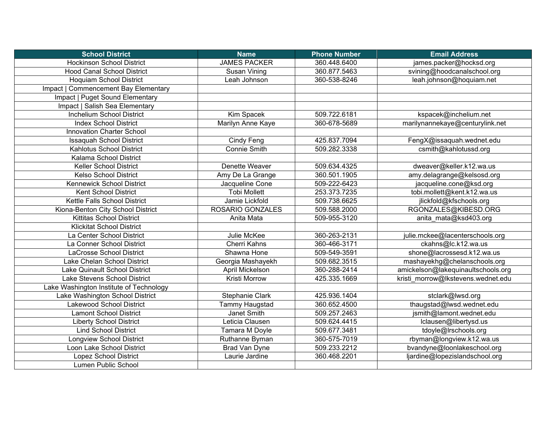| <b>School District</b>                  | <b>Name</b>             | <b>Phone Number</b> | <b>Email Address</b>               |
|-----------------------------------------|-------------------------|---------------------|------------------------------------|
| <b>Hockinson School District</b>        | <b>JAMES PACKER</b>     | 360.448.6400        | james.packer@hocksd.org            |
| <b>Hood Canal School District</b>       | Susan Vining            | 360.877.5463        | svining@hoodcanalschool.org        |
| <b>Hoquiam School District</b>          | Leah Johnson            | 360-538-8246        | leah.johnson@hoquiam.net           |
| Impact   Commencement Bay Elementary    |                         |                     |                                    |
| Impact   Puget Sound Elementary         |                         |                     |                                    |
| Impact   Salish Sea Elementary          |                         |                     |                                    |
| Inchelium School District               | Kim Spacek              | 509.722.6181        | kspacek@inchelium.net              |
| <b>Index School District</b>            | Marilyn Anne Kaye       | 360-678-5689        | marilynannekaye@centurylink.net    |
| <b>Innovation Charter School</b>        |                         |                     |                                    |
| <b>Issaquah School District</b>         | Cindy Feng              | 425.837.7094        | FengX@issaquah.wednet.edu          |
| Kahlotus School District                | <b>Connie Smith</b>     | 509.282.3338        | csmith@kahlotussd.org              |
| Kalama School District                  |                         |                     |                                    |
| Keller School District                  | Denette Weaver          | 509.634.4325        | dweaver@keller.k12.wa.us           |
| <b>Kelso School District</b>            | Amy De La Grange        | 360.501.1905        | amy.delagrange@kelsosd.org         |
| Kennewick School District               | Jacqueline Cone         | 509-222-6423        | jacqueline.cone@ksd.org            |
| <b>Kent School District</b>             | <b>Tobi Mollett</b>     | 253.373.7235        | tobi.mollett@kent.k12.wa.us        |
| Kettle Falls School District            | Jamie Lickfold          | 509.738.6625        | jlickfold@kfschools.org            |
| Kiona-Benton City School District       | <b>ROSARIO GONZALES</b> | 509.588.2000        | RGONZALES@KIBESD.ORG               |
| <b>Kittitas School District</b>         | Anita Mata              | 509-955-3120        | anita mata@ksd403.org              |
| <b>Klickitat School District</b>        |                         |                     |                                    |
| La Center School District               | Julie McKee             | 360-263-2131        | julie.mckee@lacenterschools.org    |
| La Conner School District               | Cherri Kahns            | 360-466-3171        | ckahns@lc.k12.wa.us                |
| LaCrosse School District                | Shawna Hone             | 509-549-3591        | shone@lacrossesd.k12.wa.us         |
| Lake Chelan School District             | Georgia Mashayekh       | 509.682.3515        | mashayekhg@chelanschools.org       |
| Lake Quinault School District           | April Mickelson         | 360-288-2414        | amickelson@lakequinaultschools.org |
| Lake Stevens School District            | Kristi Morrow           | 425.335.1669        | kristi_morrow@lkstevens.wednet.edu |
| Lake Washington Institute of Technology |                         |                     |                                    |
| Lake Washington School District         | Stephanie Clark         | 425.936.1404        | stclark@lwsd.org                   |
| Lakewood School District                | Tammy Haugstad          | 360.652.4500        | thaugstad@lwsd.wednet.edu          |
| <b>Lamont School District</b>           | Janet Smith             | 509.257.2463        | jsmith@lamont.wednet.edu           |
| <b>Liberty School District</b>          | Leticia Clausen         | 509.624.4415        | lclausen@libertysd.us              |
| <b>Lind School District</b>             | Tamara M Doyle          | 509.677.3481        | tdoyle@Irschools.org               |
| <b>Longview School District</b>         | Ruthanne Byman          | 360-575-7019        | rbyman@longview.k12.wa.us          |
| Loon Lake School District               | <b>Brad Van Dyne</b>    | 509.233.2212        | bvandyne@loonlakeschool.org        |
| <b>Lopez School District</b>            | Laurie Jardine          | 360.468.2201        | ljardine@lopezislandschool.org     |
| Lumen Public School                     |                         |                     |                                    |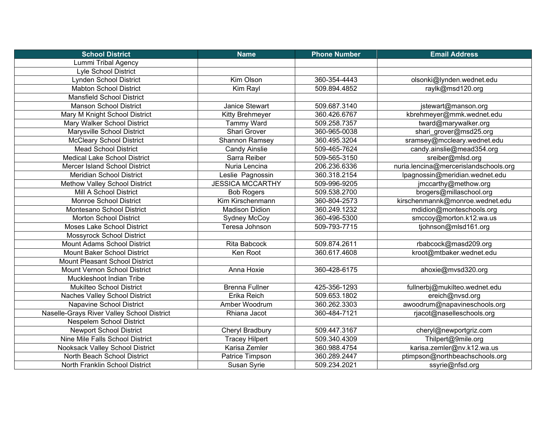| <b>School District</b>                     | <b>Name</b>             | <b>Phone Number</b> | <b>Email Address</b>                  |
|--------------------------------------------|-------------------------|---------------------|---------------------------------------|
| Lummi Tribal Agency                        |                         |                     |                                       |
| Lyle School District                       |                         |                     |                                       |
| Lynden School District                     | Kim Olson               | 360-354-4443        | olsonki@lynden.wednet.edu             |
| <b>Mabton School District</b>              | Kim Rayl                | 509.894.4852        | raylk@msd120.org                      |
| <b>Mansfield School District</b>           |                         |                     |                                       |
| <b>Manson School District</b>              | Janice Stewart          | 509.687.3140        | jstewart@manson.org                   |
| Mary M Knight School District              | Kitty Brehmeyer         | 360.426.6767        | kbrehmeyer@mmk.wednet.edu             |
| Mary Walker School District                | Tammy Ward              | 509.258.7357        | tward@marywalker.org                  |
| Marysville School District                 | <b>Shari Grover</b>     | 360-965-0038        | shari_grover@msd25.org                |
| <b>McCleary School District</b>            | <b>Shannon Ramsey</b>   | 360.495.3204        | sramsey@mccleary.wednet.edu           |
| <b>Mead School District</b>                | <b>Candy Ainslie</b>    | 509-465-7624        | candy.ainslie@mead354.org             |
| <b>Medical Lake School District</b>        | Sarra Reiber            | 509-565-3150        | sreiber@mlsd.org                      |
| Mercer Island School District              | Nuria Lencina           | 206.236.6336        | nuria.lencina@mercerislandschools.org |
| <b>Meridian School District</b>            | Leslie Pagnossin        | 360.318.2154        | lpagnossin@meridian.wednet.edu        |
| Methow Valley School District              | <b>JESSICA MCCARTHY</b> | 509-996-9205        | jmccarthy@methow.org                  |
| Mill A School District                     | <b>Bob Rogers</b>       | 509.538.2700        | brogers@millaschool.org               |
| <b>Monroe School District</b>              | Kim Kirschenmann        | 360-804-2573        | kirschenmannk@monroe.wednet.edu       |
| Montesano School District                  | <b>Madison Didion</b>   | 360.249.1232        | mdidion@monteschools.org              |
| <b>Morton School District</b>              | <b>Sydney McCoy</b>     | 360-496-5300        | smccoy@morton.k12.wa.us               |
| Moses Lake School District                 | Teresa Johnson          | 509-793-7715        | tjohnson@mlsd161.org                  |
| <b>Mossyrock School District</b>           |                         |                     |                                       |
| Mount Adams School District                | <b>Rita Babcock</b>     | 509.874.2611        | rbabcock@masd209.org                  |
| <b>Mount Baker School District</b>         | Ken Root                | 360.617.4608        | kroot@mtbaker.wednet.edu              |
| <b>Mount Pleasant School District</b>      |                         |                     |                                       |
| Mount Vernon School District               | Anna Hoxie              | 360-428-6175        | ahoxie@mvsd320.org                    |
| Muckleshoot Indian Tribe                   |                         |                     |                                       |
| Mukilteo School District                   | <b>Brenna Fullner</b>   | 425-356-1293        | fullnerbj@mukilteo.wednet.edu         |
| Naches Valley School District              | Erika Reich             | 509.653.1802        | ereich@nvsd.org                       |
| Napavine School District                   | Amber Woodrum           | 360.262.3303        | awoodrum@napavineschools.org          |
| Naselle-Grays River Valley School District | Rhiana Jacot            | 360-484-7121        | rjacot@naselleschools.org             |
| Nespelem School District                   |                         |                     |                                       |
| <b>Newport School District</b>             | Cheryl Bradbury         | 509.447.3167        | cheryl@newportgriz.com                |
| Nine Mile Falls School District            | <b>Tracey Hilpert</b>   | 509.340.4309        | Thilpert@9mile.org                    |
| Nooksack Valley School District            | Karisa Zemler           | 360.988.4754        | karisa.zemler@nv.k12.wa.us            |
| North Beach School District                | Patrice Timpson         | 360.289.2447        | ptimpson@northbeachschools.org        |
| North Franklin School District             | Susan Syrie             | 509.234.2021        | ssyrie@nfsd.org                       |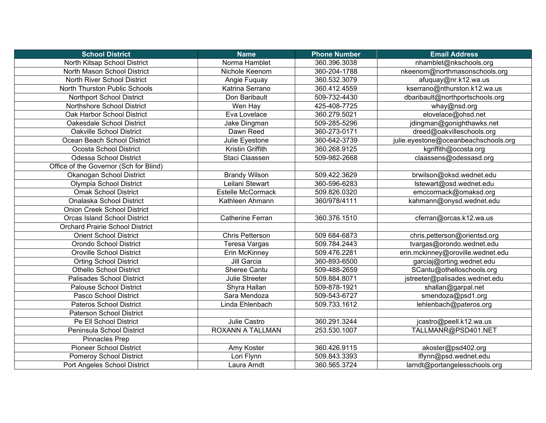| <b>School District</b>                 | <b>Name</b>              | <b>Phone Number</b> | <b>Email Address</b>                 |
|----------------------------------------|--------------------------|---------------------|--------------------------------------|
| North Kitsap School District           | Norma Hamblet            | 360.396.3038        | nhamblet@nkschools.org               |
| North Mason School District            | Nichole Keenom           | 360-204-1788        | nkeenom@northmasonschools.org        |
| <b>North River School District</b>     | Angie Fuquay             | 360.532.3079        | afuquay@nr.k12.wa.us                 |
| North Thurston Public Schools          | Katrina Serrano          | 360.412.4559        | kserrano@nthurston.k12.wa.us         |
| Northport School District              | Don Baribault            | 509-732-4430        | dbaribault@northportschools.org      |
| Northshore School District             | Wen Hay                  | 425-408-7725        | whay@nsd.org                         |
| Oak Harbor School District             | Eva Lovelace             | 360.279.5021        | elovelace@ohsd.net                   |
| Oakesdale School District              | Jake Dingman             | 509-285-5296        | jdingman@gonighthawks.net            |
| Oakville School District               | Dawn Reed                | 360-273-0171        | dreed@oakvilleschools.org            |
| Ocean Beach School District            | Julie Eyestone           | 360-642-3739        | julie.eyestone@oceanbeachschools.org |
| Ocosta School District                 | Kristin Griffith         | 360.268.9125        | kgriffith@ocosta.org                 |
| <b>Odessa School District</b>          | Staci Claassen           | 509-982-2668        | claassens@odessasd.org               |
| Office of the Governor (Sch for Blind) |                          |                     |                                      |
| Okanogan School District               | <b>Brandy Wilson</b>     | 509.422.3629        | brwilson@oksd.wednet.edu             |
| Olympia School District                | Leilani Stewart          | 360-596-6283        | Istewart@osd.wednet.edu              |
| <b>Omak School District</b>            | <b>Estelle McCormack</b> | 509.826.0320        | emccormack@omaksd.org                |
| Onalaska School District               | Kathleen Ahmann          | 360/978/4111        | kahmann@onysd.wednet.edu             |
| <b>Onion Creek School District</b>     |                          |                     |                                      |
| <b>Orcas Island School District</b>    | <b>Catherine Ferran</b>  | 360.376.1510        | cferran@orcas.k12.wa.us              |
| <b>Orchard Prairie School District</b> |                          |                     |                                      |
| <b>Orient School District</b>          | <b>Chris Petterson</b>   | 509 684-6873        | chris.petterson@orientsd.org         |
| Orondo School District                 | Teresa Vargas            | 509.784.2443        | tvargas@orondo.wednet.edu            |
| <b>Oroville School District</b>        | Erin McKinney            | 509.476.2281        | erin.mckinney@oroville.wednet.edu    |
| <b>Orting School District</b>          | Jill Garcia              | 360-893-6500        | garciaj@orting.wednet.edu            |
| <b>Othello School District</b>         | Sheree Cantu             | 509-488-2659        | SCantu@othelloschools.org            |
| <b>Palisades School District</b>       | Julie Streeter           | 509.884.8071        | jstreeter@palisades.wednet.edu       |
| <b>Palouse School District</b>         | Shyra Hallan             | 509-878-1921        | shallan@garpal.net                   |
| Pasco School District                  | Sara Mendoza             | 509-543-6727        | smendoza@psd1.org                    |
| <b>Pateros School District</b>         | Linda Ehlenbach          | 509.733.1612        | lehlenbach@pateros.org               |
| <b>Paterson School District</b>        |                          |                     |                                      |
| Pe Ell School District                 | Julie Castro             | 360.291.3244        | jcastro@peell.k12.wa.us              |
| Peninsula School District              | ROXANN A TALLMAN         | 253.530.1007        | TALLMANR@PSD401.NET                  |
| Pinnacles Prep                         |                          |                     |                                      |
| <b>Pioneer School District</b>         | Amy Koster               | 360.426.9115        | akoster@psd402.org                   |
| <b>Pomeroy School District</b>         | Lori Flynn               | 509.843.3393        | lflynn@psd.wednet.edu                |
| Port Angeles School District           | Laura Arndt              | 360.565.3724        | larndt@portangelesschools.org        |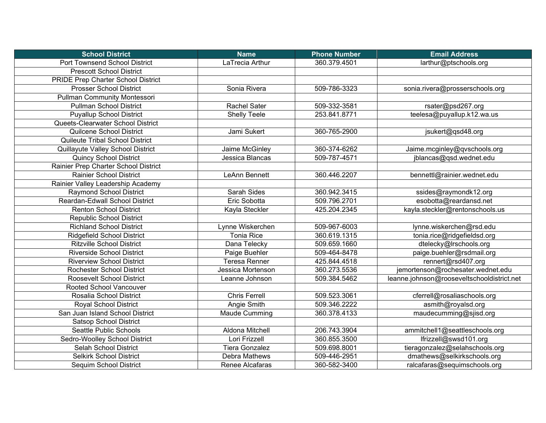| <b>School District</b>                    | <b>Name</b>           | <b>Phone Number</b> | <b>Email Address</b>                       |
|-------------------------------------------|-----------------------|---------------------|--------------------------------------------|
| <b>Port Townsend School District</b>      | LaTrecia Arthur       | 360.379.4501        | larthur@ptschools.org                      |
| <b>Prescott School District</b>           |                       |                     |                                            |
| <b>PRIDE Prep Charter School District</b> |                       |                     |                                            |
| <b>Prosser School District</b>            | Sonia Rivera          | 509-786-3323        | sonia.rivera@prosserschools.org            |
| <b>Pullman Community Montessori</b>       |                       |                     |                                            |
| <b>Pullman School District</b>            | Rachel Sater          | 509-332-3581        | rsater@psd267.org                          |
| <b>Puyallup School District</b>           | <b>Shelly Teele</b>   | 253.841.8771        | teelesa@puyallup.k12.wa.us                 |
| Queets-Clearwater School District         |                       |                     |                                            |
| Quilcene School District                  | Jami Sukert           | 360-765-2900        | jsukert@qsd48.org                          |
| <b>Quileute Tribal School District</b>    |                       |                     |                                            |
| Quillayute Valley School District         | Jaime McGinley        | 360-374-6262        | Jaime.mcginley@qvschools.org               |
| <b>Quincy School District</b>             | Jessica Blancas       | 509-787-4571        | jblancas@gsd.wednet.edu                    |
| Rainier Prep Charter School District      |                       |                     |                                            |
| <b>Rainier School District</b>            | LeAnn Bennett         | 360.446.2207        | bennettl@rainier.wednet.edu                |
| Rainier Valley Leadership Academy         |                       |                     |                                            |
| Raymond School District                   | Sarah Sides           | 360.942.3415        | ssides@raymondk12.org                      |
| Reardan-Edwall School District            | Eric Sobotta          | 509.796.2701        | esobotta@reardansd.net                     |
| <b>Renton School District</b>             | Kayla Steckler        | 425.204.2345        | kayla.steckler@rentonschools.us            |
| <b>Republic School District</b>           |                       |                     |                                            |
| <b>Richland School District</b>           | Lynne Wiskerchen      | 509-967-6003        | lynne.wiskerchen@rsd.edu                   |
| <b>Ridgefield School District</b>         | <b>Tonia Rice</b>     | 360.619.1315        | tonia.rice@ridgefieldsd.org                |
| <b>Ritzville School District</b>          | Dana Telecky          | 509.659.1660        | dtelecky@lrschools.org                     |
| <b>Riverside School District</b>          | Paige Buehler         | 509-464-8478        | paige.buehler@rsdmail.org                  |
| <b>Riverview School District</b>          | <b>Teresa Renner</b>  | 425.844.4518        | rennert@rsd407.org                         |
| Rochester School District                 | Jessica Mortenson     | 360.273.5536        | jemortenson@rochesater.wednet.edu          |
| <b>Roosevelt School District</b>          | Leanne Johnson        | 509.384.5462        | leanne.johnson@rooseveltschooldistrict.net |
| Rooted School Vancouver                   |                       |                     |                                            |
| Rosalia School District                   | <b>Chris Ferrell</b>  | 509.523.3061        | cferrell@rosaliaschools.org                |
| <b>Royal School District</b>              | Angie Smith           | 509.346.2222        | asmith@royalsd.org                         |
| San Juan Island School District           | Maude Cumming         | 360.378.4133        | maudecumming@sjisd.org                     |
| <b>Satsop School District</b>             |                       |                     |                                            |
| Seattle Public Schools                    | Aldona Mitchell       | 206.743.3904        | ammitchell1@seattleschools.org             |
| Sedro-Woolley School District             | Lori Frizzell         | 360.855.3500        | lfrizzell@swsd101.org                      |
| Selah School District                     | <b>Tiera Gonzalez</b> | 509.698.8001        | tieragonzalez@selahschools.org             |
| <b>Selkirk School District</b>            | Debra Mathews         | 509-446-2951        | dmathews@selkirkschools.org                |
| Sequim School District                    | Renee Alcafaras       | 360-582-3400        | ralcafaras@sequimschools.org               |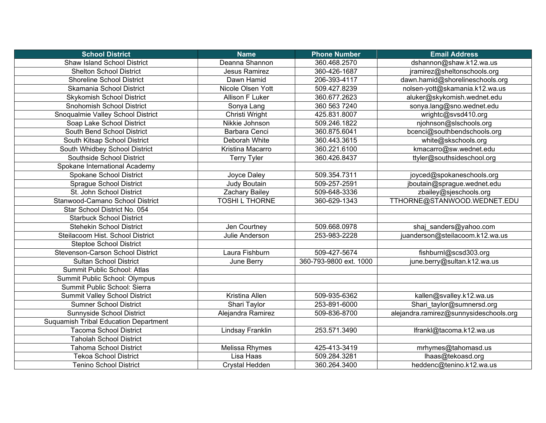| <b>School District</b>                       | <b>Name</b>           | <b>Phone Number</b>    | <b>Email Address</b>                   |
|----------------------------------------------|-----------------------|------------------------|----------------------------------------|
| <b>Shaw Island School District</b>           | Deanna Shannon        | 360.468.2570           | dshannon@shaw.k12.wa.us                |
| <b>Shelton School District</b>               | Jesus Ramirez         | 360-426-1687           | jramirez@sheltonschools.org            |
| <b>Shoreline School District</b>             | Dawn Hamid            | 206-393-4117           | dawn.hamid@shorelineschools.org        |
| Skamania School District                     | Nicole Olsen Yott     | 509.427.8239           | nolsen-yott@skamania.k12.wa.us         |
| <b>Skykomish School District</b>             | Allison F Luker       | 360.677.2623           | aluker@skykomish.wednet.edu            |
| <b>Snohomish School District</b>             | Sonya Lang            | 360 563 7240           | sonya.lang@sno.wednet.edu              |
| Snoqualmie Valley School District            | Christi Wright        | 425.831.8007           | wrightc@svsd410.org                    |
| Soap Lake School District                    | Nikkie Johnson        | 509.246.1822           | njohnson@slschools.org                 |
| South Bend School District                   | Barbara Cenci         | 360.875.6041           | bcenci@southbendschools.org            |
| South Kitsap School District                 | Deborah White         | 360.443.3615           | white@skschools.org                    |
| South Whidbey School District                | Kristina Macarro      | 360.221.6100           | kmacarro@sw.wednet.edu                 |
| Southside School District                    | <b>Terry Tyler</b>    | 360.426.8437           | ttyler@southsideschool.org             |
| Spokane International Academy                |                       |                        |                                        |
| Spokane School District                      | Joyce Daley           | 509.354.7311           | joyced@spokaneschools.org              |
| Sprague School District                      | <b>Judy Boutain</b>   | 509-257-2591           | jboutain@sprague.wednet.edu            |
| St. John School District                     | Zachary Bailey        | 509-648-3336           | zbailey@sjeschools.org                 |
| Stanwood-Camano School District              | <b>TOSHIL THORNE</b>  | 360-629-1343           | TTHORNE@STANWOOD.WEDNET.EDU            |
| Star School District No. 054                 |                       |                        |                                        |
| <b>Starbuck School District</b>              |                       |                        |                                        |
| <b>Stehekin School District</b>              | Jen Courtney          | 509.668.0978           | shaj_sanders@yahoo.com                 |
| Steilacoom Hist. School District             | Julie Anderson        | 253-983-2228           | juanderson@steilacoom.k12.wa.us        |
| <b>Steptoe School District</b>               |                       |                        |                                        |
| Stevenson-Carson School District             | Laura Fishburn        | 509-427-5674           | fishburnl@scsd303.org                  |
| <b>Sultan School District</b>                | June Berry            | 360-793-9800 ext. 1000 | june.berry@sultan.k12.wa.us            |
| Summit Public School: Atlas                  |                       |                        |                                        |
| Summit Public School: Olympus                |                       |                        |                                        |
| Summit Public School: Sierra                 |                       |                        |                                        |
| <b>Summit Valley School District</b>         | Kristina Allen        | 509-935-6362           | kallen@svalley.k12.wa.us               |
| <b>Sumner School District</b>                | Shari Taylor          | 253-891-6000           | Shari taylor@sumnersd.org              |
| <b>Sunnyside School District</b>             | Alejandra Ramirez     | 509-836-8700           | alejandra.ramirez@sunnysideschools.org |
| <b>Suquamish Tribal Education Department</b> |                       |                        |                                        |
| <b>Tacoma School District</b>                | Lindsay Franklin      | 253.571.3490           | lfrankl@tacoma.k12.wa.us               |
| <b>Taholah School District</b>               |                       |                        |                                        |
| <b>Tahoma School District</b>                | Melissa Rhymes        | 425-413-3419           | mrhymes@tahomasd.us                    |
| <b>Tekoa School District</b>                 | Lisa Haas             | 509.284.3281           | lhaas@tekoasd.org                      |
| <b>Tenino School District</b>                | <b>Crystal Hedden</b> | 360.264.3400           | heddenc@tenino.k12.wa.us               |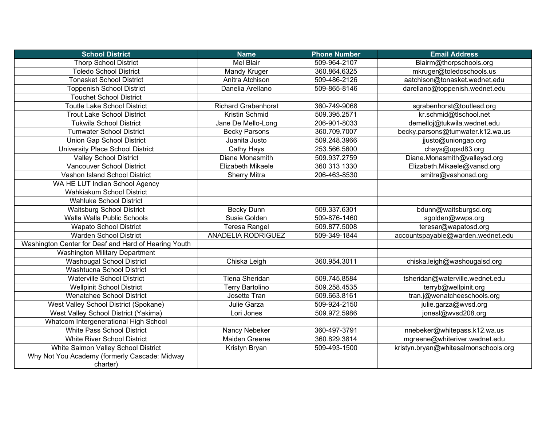| <b>School District</b>                               | <b>Name</b>                | <b>Phone Number</b> | <b>Email Address</b>                 |
|------------------------------------------------------|----------------------------|---------------------|--------------------------------------|
| <b>Thorp School District</b>                         | Mel Blair                  | 509-964-2107        | Blairm@thorpschools.org              |
| <b>Toledo School District</b>                        | Mandy Kruger               | 360.864.6325        | mkruger@toledoschools.us             |
| <b>Tonasket School District</b>                      | Anitra Atchison            | 509-486-2126        | aatchison@tonasket.wednet.edu        |
| <b>Toppenish School District</b>                     | Danelia Arellano           | 509-865-8146        | darellano@toppenish.wednet.edu       |
| <b>Touchet School District</b>                       |                            |                     |                                      |
| <b>Toutle Lake School District</b>                   | <b>Richard Grabenhorst</b> | 360-749-9068        | sgrabenhorst@toutlesd.org            |
| <b>Trout Lake School District</b>                    | Kristin Schmid             | 509.395.2571        | kr.schmid@tlschool.net               |
| <b>Tukwila School District</b>                       | Jane De Mello-Long         | 206-901-8033        | demelloj@tukwila.wednet.edu          |
| <b>Tumwater School District</b>                      | <b>Becky Parsons</b>       | 360.709.7007        | becky.parsons@tumwater.k12.wa.us     |
| Union Gap School District                            | Juanita Justo              | 509.248.3966        | jjusto@uniongap.org                  |
| University Place School District                     | Cathy Hays                 | 253.566.5600        | chays@upsd83.org                     |
| <b>Valley School District</b>                        | Diane Monasmith            | 509.937.2759        | Diane.Monasmith@valleysd.org         |
| Vancouver School District                            | <b>Elizabeth Mikaele</b>   | 360 313 1330        | Elizabeth.Mikaele@vansd.org          |
| Vashon Island School District                        | <b>Sherry Mitra</b>        | 206-463-8530        | smitra@vashonsd.org                  |
| WA HE LUT Indian School Agency                       |                            |                     |                                      |
| Wahkiakum School District                            |                            |                     |                                      |
| <b>Wahluke School District</b>                       |                            |                     |                                      |
| <b>Waitsburg School District</b>                     | <b>Becky Dunn</b>          | 509.337.6301        | bdunn@waitsburgsd.org                |
| Walla Walla Public Schools                           | Susie Golden               | 509-876-1460        | sgolden@wwps.org                     |
| <b>Wapato School District</b>                        | <b>Teresa Rangel</b>       | 509.877.5008        | teresar@wapatosd.org                 |
| <b>Warden School District</b>                        | <b>ANADELIA RODRIGUEZ</b>  | 509-349-1844        | accountspayable@warden.wednet.edu    |
| Washington Center for Deaf and Hard of Hearing Youth |                            |                     |                                      |
| Washington Military Department                       |                            |                     |                                      |
| <b>Washougal School District</b>                     | Chiska Leigh               | 360.954.3011        | chiska.leigh@washougalsd.org         |
| <b>Washtucna School District</b>                     |                            |                     |                                      |
| <b>Waterville School District</b>                    | Tiena Sheridan             | 509.745.8584        | tsheridan@waterville.wednet.edu      |
| <b>Wellpinit School District</b>                     | <b>Terry Bartolino</b>     | 509.258.4535        | terryb@wellpinit.org                 |
| Wenatchee School District                            | Josette Tran               | 509.663.8161        | tran.j@wenatcheeschools.org          |
| West Valley School District (Spokane)                | Julie Garza                | 509-924-2150        | julie.garza@wvsd.org                 |
| West Valley School District (Yakima)                 | Lori Jones                 | 509.972.5986        | jonesl@wvsd208.org                   |
| Whatcom Intergenerational High School                |                            |                     |                                      |
| White Pass School District                           | Nancy Nebeker              | 360-497-3791        | nnebeker@whitepass.k12.wa.us         |
| <b>White River School District</b>                   | <b>Maiden Greene</b>       | 360.829.3814        | mgreene@whiteriver.wednet.edu        |
| White Salmon Valley School District                  | Kristyn Bryan              | 509-493-1500        | kristyn.bryan@whitesalmonschools.org |
| Why Not You Academy (formerly Cascade: Midway        |                            |                     |                                      |
| charter)                                             |                            |                     |                                      |